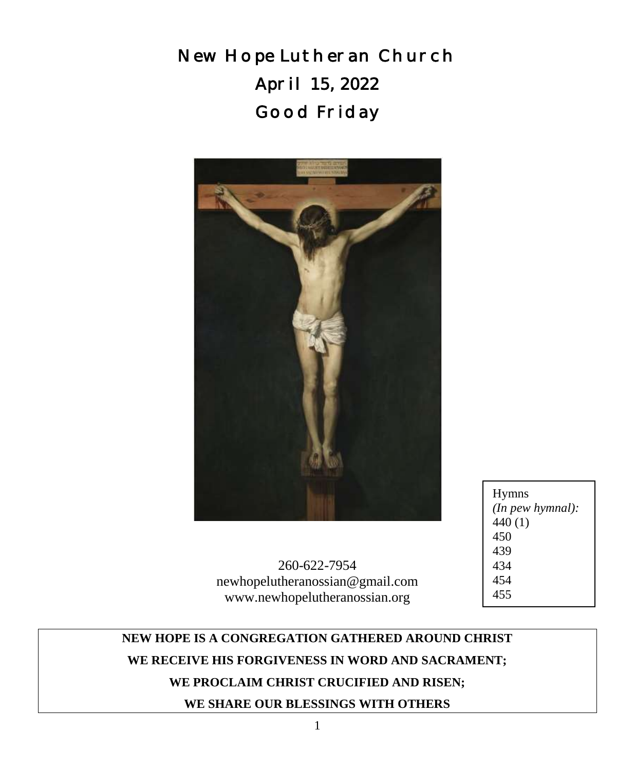New Hope Lutheran Church April 15, 2022 Good Friday



Hymns *(In pew hymnal):* 440 (1) 450 439 434 454 455

260-622-7954 newhopelutheranossian@gmail.com www.newhopelutheranossian.org

# **NEW HOPE IS A CONGREGATION GATHERED AROUND CHRIST WE RECEIVE HIS FORGIVENESS IN WORD AND SACRAMENT; WE PROCLAIM CHRIST CRUCIFIED AND RISEN; WE SHARE OUR BLESSINGS WITH OTHERS**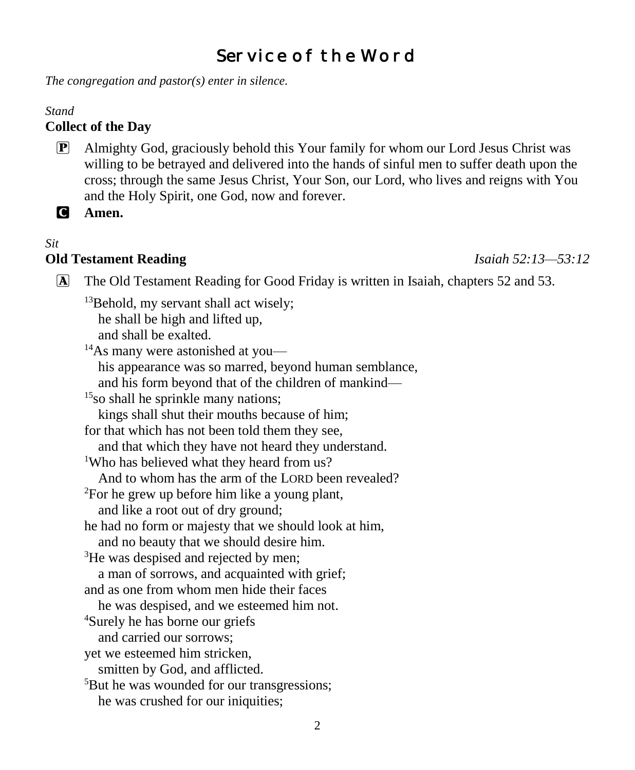# Service of the Word

*The congregation and pastor(s) enter in silence.*

#### *Stand*

#### **Collect of the Day**

P Almighty God, graciously behold this Your family for whom our Lord Jesus Christ was willing to be betrayed and delivered into the hands of sinful men to suffer death upon the cross; through the same Jesus Christ, Your Son, our Lord, who lives and reigns with You and the Holy Spirit, one God, now and forever.

C **Amen.**

# *Sit*

#### **Old Testament Reading** *Isaiah 52:13—53:12*

- A The Old Testament Reading for Good Friday is written in Isaiah, chapters 52 and 53.
	- $13$ Behold, my servant shall act wisely; he shall be high and lifted up, and shall be exalted.

<sup>14</sup>As many were astonished at you his appearance was so marred, beyond human semblance, and his form beyond that of the children of mankind— <sup>15</sup>so shall he sprinkle many nations; kings shall shut their mouths because of him; for that which has not been told them they see, and that which they have not heard they understand. <sup>1</sup>Who has believed what they heard from us? And to whom has the arm of the LORD been revealed? <sup>2</sup>For he grew up before him like a young plant, and like a root out of dry ground; he had no form or majesty that we should look at him, and no beauty that we should desire him. <sup>3</sup>He was despised and rejected by men; a man of sorrows, and acquainted with grief; and as one from whom men hide their faces he was despised, and we esteemed him not. <sup>4</sup>Surely he has borne our griefs and carried our sorrows; yet we esteemed him stricken, smitten by God, and afflicted. <sup>5</sup>But he was wounded for our transgressions; he was crushed for our iniquities;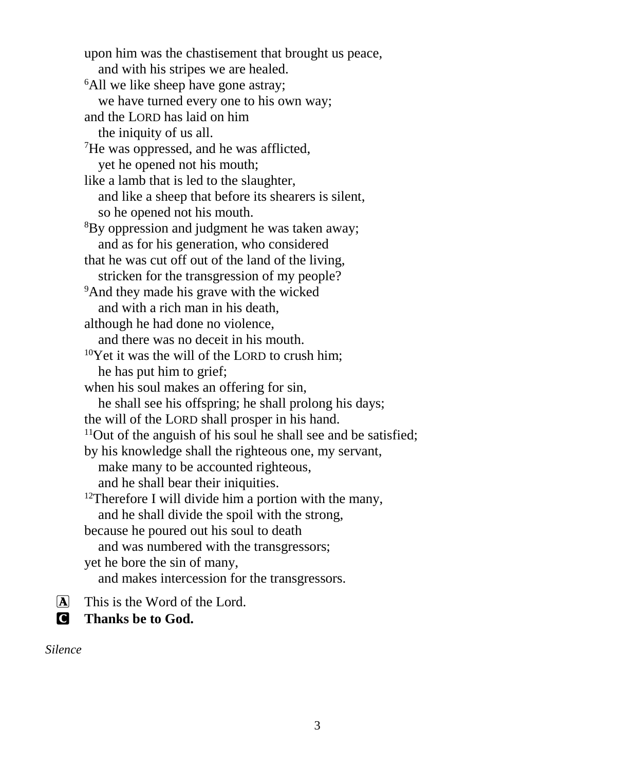upon him was the chastisement that brought us peace, and with his stripes we are healed. <sup>6</sup>All we like sheep have gone astray; we have turned every one to his own way; and the LORD has laid on him the iniquity of us all. <sup>7</sup>He was oppressed, and he was afflicted, yet he opened not his mouth; like a lamb that is led to the slaughter, and like a sheep that before its shearers is silent, so he opened not his mouth. <sup>8</sup>By oppression and judgment he was taken away; and as for his generation, who considered that he was cut off out of the land of the living, stricken for the transgression of my people? <sup>9</sup>And they made his grave with the wicked and with a rich man in his death, although he had done no violence, and there was no deceit in his mouth.  $10$ Yet it was the will of the LORD to crush him: he has put him to grief; when his soul makes an offering for sin, he shall see his offspring; he shall prolong his days; the will of the LORD shall prosper in his hand.  $11$ Out of the anguish of his soul he shall see and be satisfied; by his knowledge shall the righteous one, my servant, make many to be accounted righteous, and he shall bear their iniquities.  $12$ Therefore I will divide him a portion with the many, and he shall divide the spoil with the strong, because he poured out his soul to death and was numbered with the transgressors; yet he bore the sin of many, and makes intercession for the transgressors.

 $\overline{A}$  This is the Word of the Lord.

C **Thanks be to God.**

*Silence*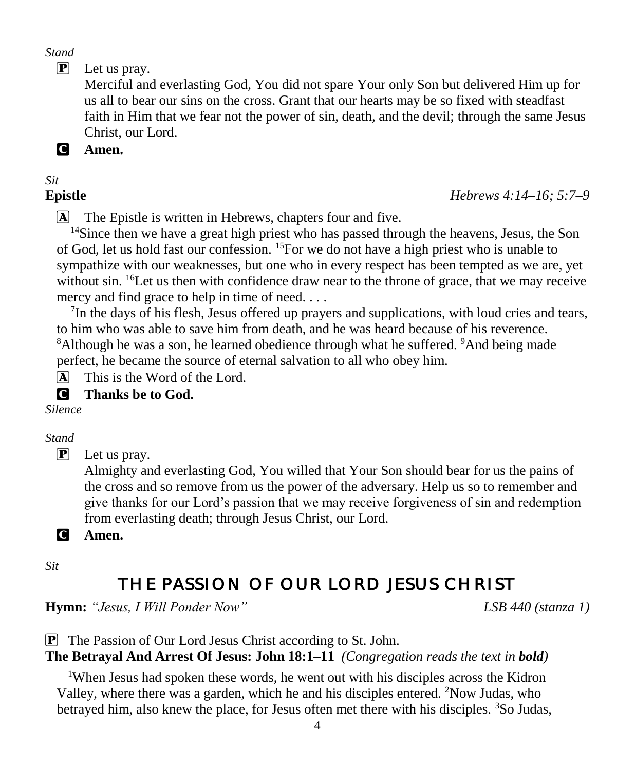*Stand*

 $\mathbf{P}$  Let us pray.

Merciful and everlasting God, You did not spare Your only Son but delivered Him up for us all to bear our sins on the cross. Grant that our hearts may be so fixed with steadfast faith in Him that we fear not the power of sin, death, and the devil; through the same Jesus Christ, our Lord.

C **Amen.**

# *Sit*

**Epistle** *Hebrews 4:14–16; 5:7–9*

A The Epistle is written in Hebrews, chapters four and five.

<sup>14</sup>Since then we have a great high priest who has passed through the heavens, Jesus, the Son of God, let us hold fast our confession. <sup>15</sup>For we do not have a high priest who is unable to sympathize with our weaknesses, but one who in every respect has been tempted as we are, yet without sin. <sup>16</sup>Let us then with confidence draw near to the throne of grace, that we may receive mercy and find grace to help in time of need. . . .

 $7$ In the days of his flesh, Jesus offered up prayers and supplications, with loud cries and tears, to him who was able to save him from death, and he was heard because of his reverence. <sup>8</sup>Although he was a son, he learned obedience through what he suffered. <sup>9</sup>And being made perfect, he became the source of eternal salvation to all who obey him.

 $\overline{A}$  This is the Word of the Lord.

# C **Thanks be to God.**

*Silence*

*Stand*

P Let us pray.

Almighty and everlasting God, You willed that Your Son should bear for us the pains of the cross and so remove from us the power of the adversary. Help us so to remember and give thanks for our Lord's passion that we may receive forgiveness of sin and redemption from everlasting death; through Jesus Christ, our Lord.

C **Amen.**

*Sit*

# THE PASSION OF OUR LORD JESUS CHRIST

**Hymn:** *"Jesus, I Will Ponder Now" LSB 440 (stanza 1)*

P The Passion of Our Lord Jesus Christ according to St. John.

# **The Betrayal And Arrest Of Jesus: John 18:1–11** *(Congregation reads the text in bold)*

<sup>1</sup>When Jesus had spoken these words, he went out with his disciples across the Kidron Valley, where there was a garden, which he and his disciples entered. <sup>2</sup>Now Judas, who betrayed him, also knew the place, for Jesus often met there with his disciples.  ${}^{3}$ So Judas,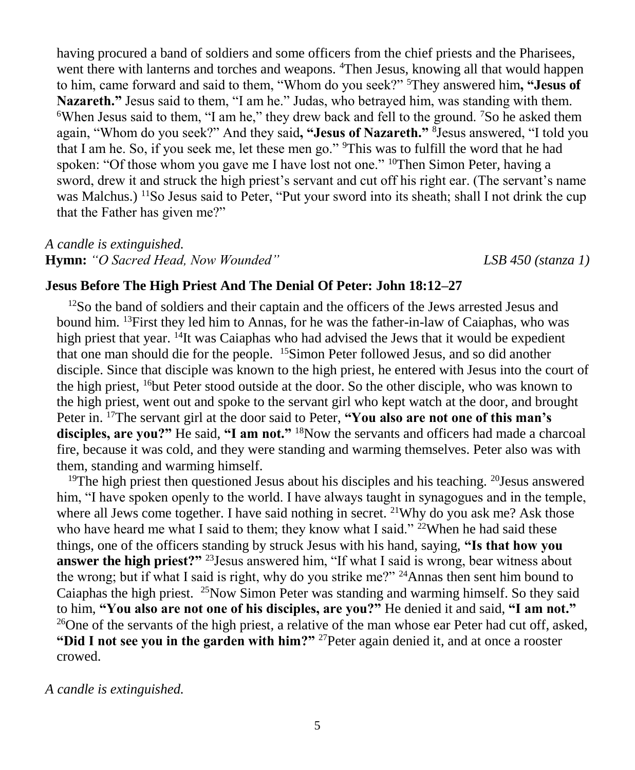having procured a band of soldiers and some officers from the chief priests and the Pharisees, went there with lanterns and torches and weapons. <sup>4</sup>Then Jesus, knowing all that would happen to him, came forward and said to them, "Whom do you seek?" <sup>5</sup>They answered him**, "Jesus of Nazareth."** Jesus said to them, "I am he." Judas, who betrayed him, was standing with them. <sup>6</sup>When Jesus said to them, "I am he," they drew back and fell to the ground. <sup>7</sup>So he asked them again, "Whom do you seek?" And they said**, "Jesus of Nazareth."** <sup>8</sup> Jesus answered, "I told you that I am he. So, if you seek me, let these men go." <sup>9</sup>This was to fulfill the word that he had spoken: "Of those whom you gave me I have lost not one." <sup>10</sup>Then Simon Peter, having a sword, drew it and struck the high priest's servant and cut off his right ear. (The servant's name was Malchus.) <sup>11</sup>So Jesus said to Peter, "Put your sword into its sheath; shall I not drink the cup that the Father has given me?"

*A candle is extinguished.* **Hymn:** *"O Sacred Head, Now Wounded" LSB 450 (stanza 1)*

#### **Jesus Before The High Priest And The Denial Of Peter: John 18:12–27**

 $12$ So the band of soldiers and their captain and the officers of the Jews arrested Jesus and bound him. <sup>13</sup>First they led him to Annas, for he was the father-in-law of Caiaphas, who was high priest that year.  $14$ It was Caiaphas who had advised the Jews that it would be expedient that one man should die for the people. <sup>15</sup>Simon Peter followed Jesus, and so did another disciple. Since that disciple was known to the high priest, he entered with Jesus into the court of the high priest, <sup>16</sup>but Peter stood outside at the door. So the other disciple, who was known to the high priest, went out and spoke to the servant girl who kept watch at the door, and brought Peter in. <sup>17</sup>The servant girl at the door said to Peter, **"You also are not one of this man's disciples, are you?"** He said, **"I am not."** <sup>18</sup>Now the servants and officers had made a charcoal fire, because it was cold, and they were standing and warming themselves. Peter also was with them, standing and warming himself.

<sup>19</sup>The high priest then questioned Jesus about his disciples and his teaching. <sup>20</sup>Jesus answered him, "I have spoken openly to the world. I have always taught in synagogues and in the temple, where all Jews come together. I have said nothing in secret. <sup>21</sup>Why do you ask me? Ask those who have heard me what I said to them; they know what I said." <sup>22</sup>When he had said these things, one of the officers standing by struck Jesus with his hand, saying, **"Is that how you answer the high priest?"** <sup>23</sup> Jesus answered him, "If what I said is wrong, bear witness about the wrong; but if what I said is right, why do you strike me?" <sup>24</sup>Annas then sent him bound to Caiaphas the high priest. <sup>25</sup>Now Simon Peter was standing and warming himself. So they said to him, **"You also are not one of his disciples, are you?"** He denied it and said, **"I am not."** <sup>26</sup>One of the servants of the high priest, a relative of the man whose ear Peter had cut off, asked, **"Did I not see you in the garden with him?"** <sup>27</sup>Peter again denied it, and at once a rooster crowed.

*A candle is extinguished.*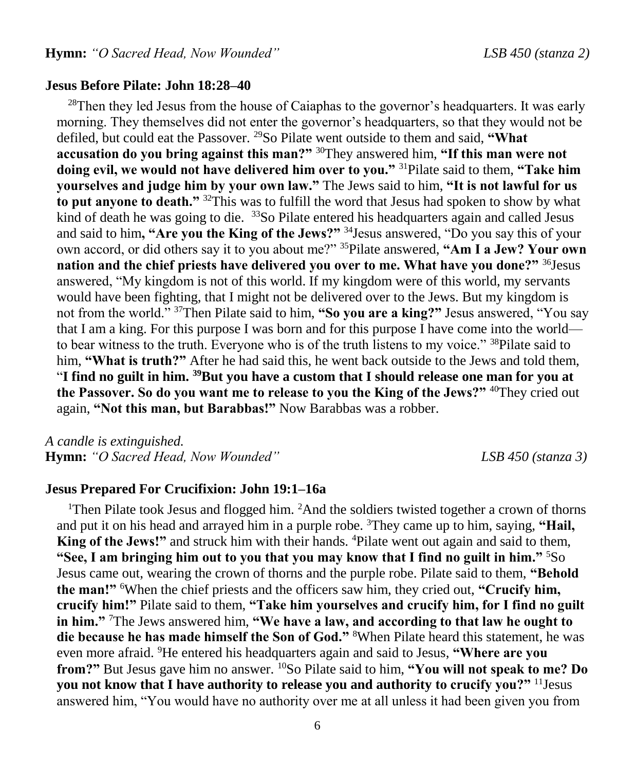#### **Jesus Before Pilate: John 18:28–40**

<sup>28</sup>Then they led Jesus from the house of Caiaphas to the governor's headquarters. It was early morning. They themselves did not enter the governor's headquarters, so that they would not be defiled, but could eat the Passover. <sup>29</sup>So Pilate went outside to them and said, **"What accusation do you bring against this man?"** <sup>30</sup>They answered him, **"If this man were not doing evil, we would not have delivered him over to you."** <sup>31</sup>Pilate said to them, **"Take him yourselves and judge him by your own law."** The Jews said to him, **"It is not lawful for us to put anyone to death."** <sup>32</sup>This was to fulfill the word that Jesus had spoken to show by what kind of death he was going to die. <sup>33</sup>So Pilate entered his headquarters again and called Jesus and said to him**, "Are you the King of the Jews?"** <sup>34</sup>Jesus answered, "Do you say this of your own accord, or did others say it to you about me?" <sup>35</sup>Pilate answered, **"Am I a Jew? Your own nation and the chief priests have delivered you over to me. What have you done?"** <sup>36</sup>Jesus answered, "My kingdom is not of this world. If my kingdom were of this world, my servants would have been fighting, that I might not be delivered over to the Jews. But my kingdom is not from the world." <sup>37</sup>Then Pilate said to him, **"So you are a king?"** Jesus answered, "You say that I am a king. For this purpose I was born and for this purpose I have come into the world to bear witness to the truth. Everyone who is of the truth listens to my voice." <sup>38</sup>Pilate said to him, **"What is truth?"** After he had said this, he went back outside to the Jews and told them, "**I find no guilt in him. <sup>39</sup>But you have a custom that I should release one man for you at the Passover. So do you want me to release to you the King of the Jews?"** <sup>40</sup>They cried out again, **"Not this man, but Barabbas!"** Now Barabbas was a robber.

*A candle is extinguished.* **Hymn:** *"O Sacred Head, Now Wounded" LSB 450 (stanza 3)*

#### **Jesus Prepared For Crucifixion: John 19:1–16a**

<sup>1</sup>Then Pilate took Jesus and flogged him.  ${}^{2}$ And the soldiers twisted together a crown of thorns and put it on his head and arrayed him in a purple robe. <sup>3</sup>They came up to him, saying, **"Hail, King of the Jews!"** and struck him with their hands. <sup>4</sup>Pilate went out again and said to them, **"See, I am bringing him out to you that you may know that I find no guilt in him."** <sup>5</sup>So Jesus came out, wearing the crown of thorns and the purple robe. Pilate said to them, **"Behold the man!"** <sup>6</sup>When the chief priests and the officers saw him, they cried out, **"Crucify him, crucify him!"** Pilate said to them, **"Take him yourselves and crucify him, for I find no guilt in him."** <sup>7</sup>The Jews answered him, **"We have a law, and according to that law he ought to die because he has made himself the Son of God."** <sup>8</sup>When Pilate heard this statement, he was even more afraid. <sup>9</sup>He entered his headquarters again and said to Jesus, **"Where are you from?"** But Jesus gave him no answer. <sup>10</sup>So Pilate said to him, **"You will not speak to me? Do you not know that I have authority to release you and authority to crucify you?"** <sup>11</sup>Jesus answered him, "You would have no authority over me at all unless it had been given you from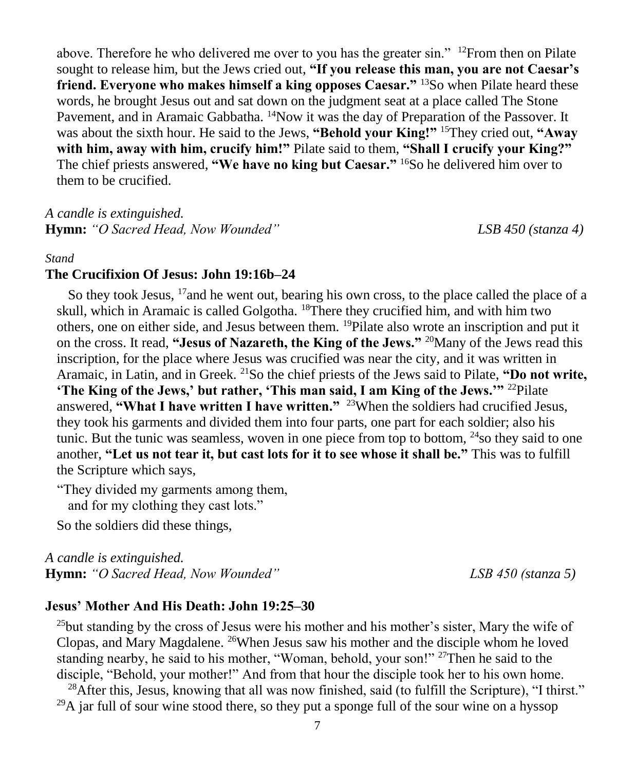above. Therefore he who delivered me over to you has the greater sin."  $12$ From then on Pilate sought to release him, but the Jews cried out, **"If you release this man, you are not Caesar's friend. Everyone who makes himself a king opposes Caesar."** <sup>13</sup>So when Pilate heard these words, he brought Jesus out and sat down on the judgment seat at a place called The Stone Pavement, and in Aramaic Gabbatha. <sup>14</sup>Now it was the day of Preparation of the Passover. It was about the sixth hour. He said to the Jews, **"Behold your King!"** <sup>15</sup>They cried out, **"Away with him, away with him, crucify him!"** Pilate said to them, **"Shall I crucify your King?"**  The chief priests answered, **"We have no king but Caesar."** <sup>16</sup>So he delivered him over to them to be crucified.

*A candle is extinguished.* **Hymn:** *"O Sacred Head, Now Wounded" LSB 450 (stanza 4)*

#### *Stand*

#### **The Crucifixion Of Jesus: John 19:16b–24**

So they took Jesus,  $17$  and he went out, bearing his own cross, to the place called the place of a skull, which in Aramaic is called Golgotha. <sup>18</sup>There they crucified him, and with him two others, one on either side, and Jesus between them. <sup>19</sup>Pilate also wrote an inscription and put it on the cross. It read, **"Jesus of Nazareth, the King of the Jews."** <sup>20</sup>Many of the Jews read this inscription, for the place where Jesus was crucified was near the city, and it was written in Aramaic, in Latin, and in Greek. <sup>21</sup>So the chief priests of the Jews said to Pilate, **"Do not write, 'The King of the Jews,' but rather, 'This man said, I am King of the Jews.'"** <sup>22</sup>Pilate answered, **"What I have written I have written."** <sup>23</sup>When the soldiers had crucified Jesus, they took his garments and divided them into four parts, one part for each soldier; also his tunic. But the tunic was seamless, woven in one piece from top to bottom,  $^{24}$ so they said to one another, **"Let us not tear it, but cast lots for it to see whose it shall be."** This was to fulfill the Scripture which says,

"They divided my garments among them, and for my clothing they cast lots."

So the soldiers did these things,

*A candle is extinguished.* **Hymn:** *"O Sacred Head, Now Wounded" LSB 450 (stanza 5)*

#### **Jesus' Mother And His Death: John 19:25–30**

 $25$ but standing by the cross of Jesus were his mother and his mother's sister, Mary the wife of Clopas, and Mary Magdalene. <sup>26</sup>When Jesus saw his mother and the disciple whom he loved standing nearby, he said to his mother, "Woman, behold, your son!"  $27$ Then he said to the disciple, "Behold, your mother!" And from that hour the disciple took her to his own home.

 $^{28}$ After this, Jesus, knowing that all was now finished, said (to fulfill the Scripture), "I thirst."  $^{29}$ A jar full of sour wine stood there, so they put a sponge full of the sour wine on a hyssop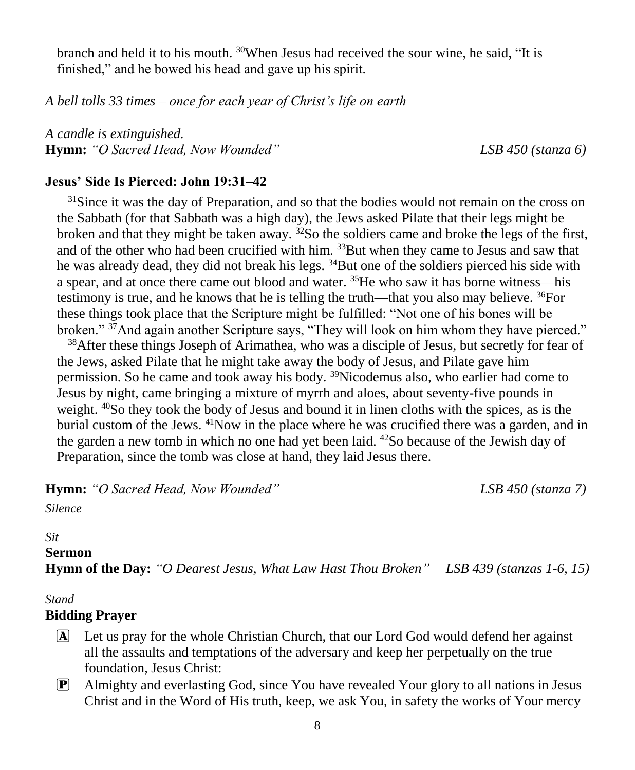branch and held it to his mouth.  $30$ When Jesus had received the sour wine, he said, "It is finished," and he bowed his head and gave up his spirit.

*A bell tolls 33 times – once for each year of Christ's life on earth*

*A candle is extinguished.* **Hymn:** *"O Sacred Head, Now Wounded" LSB 450 (stanza 6)*

#### **Jesus' Side Is Pierced: John 19:31–42**

<sup>31</sup>Since it was the day of Preparation, and so that the bodies would not remain on the cross on the Sabbath (for that Sabbath was a high day), the Jews asked Pilate that their legs might be broken and that they might be taken away.  $32$ So the soldiers came and broke the legs of the first, and of the other who had been crucified with him. <sup>33</sup>But when they came to Jesus and saw that he was already dead, they did not break his legs. <sup>34</sup>But one of the soldiers pierced his side with a spear, and at once there came out blood and water. <sup>35</sup>He who saw it has borne witness—his testimony is true, and he knows that he is telling the truth—that you also may believe.  $^{36}$ For these things took place that the Scripture might be fulfilled: "Not one of his bones will be broken." <sup>37</sup>And again another Scripture says, "They will look on him whom they have pierced."

<sup>38</sup>After these things Joseph of Arimathea, who was a disciple of Jesus, but secretly for fear of the Jews, asked Pilate that he might take away the body of Jesus, and Pilate gave him permission. So he came and took away his body. <sup>39</sup>Nicodemus also, who earlier had come to Jesus by night, came bringing a mixture of myrrh and aloes, about seventy-five pounds in weight. <sup>40</sup>So they took the body of Jesus and bound it in linen cloths with the spices, as is the burial custom of the Jews. <sup>41</sup>Now in the place where he was crucified there was a garden, and in the garden a new tomb in which no one had yet been laid.  $^{42}$ So because of the Jewish day of Preparation, since the tomb was close at hand, they laid Jesus there.

**Hymn:** *"O Sacred Head, Now Wounded" LSB 450 (stanza 7)*

*Silence*

# *Sit*

**Sermon Hymn of the Day:** *"O Dearest Jesus, What Law Hast Thou Broken" LSB 439 (stanzas 1-6, 15)*

#### *Stand*

#### **Bidding Prayer**

- A Let us pray for the whole Christian Church, that our Lord God would defend her against all the assaults and temptations of the adversary and keep her perpetually on the true foundation, Jesus Christ:
- P Almighty and everlasting God, since You have revealed Your glory to all nations in Jesus Christ and in the Word of His truth, keep, we ask You, in safety the works of Your mercy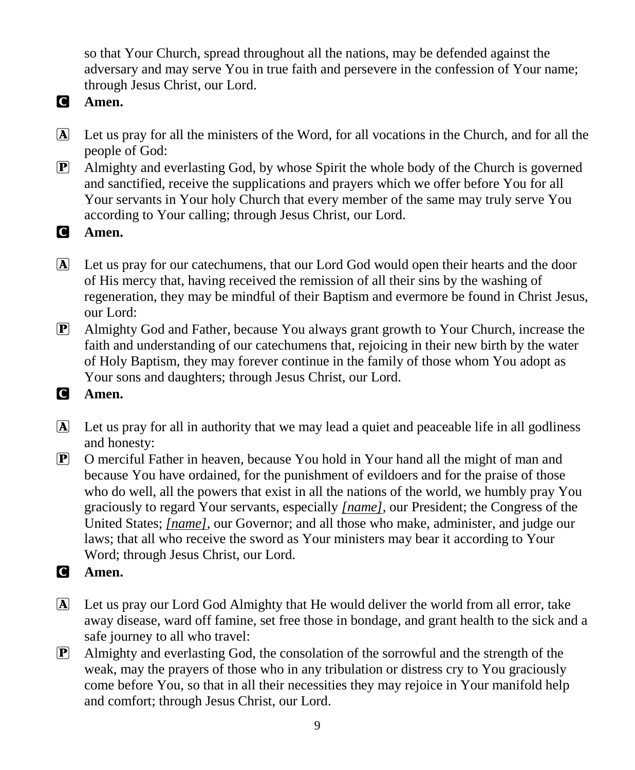so that Your Church, spread throughout all the nations, may be defended against the adversary and may serve You in true faith and persevere in the confession of Your name; through Jesus Christ, our Lord.

- C **Amen.**
- A Let us pray for all the ministers of the Word, for all vocations in the Church, and for all the people of God:
- P Almighty and everlasting God, by whose Spirit the whole body of the Church is governed and sanctified, receive the supplications and prayers which we offer before You for all Your servants in Your holy Church that every member of the same may truly serve You according to Your calling; through Jesus Christ, our Lord.
- C **Amen.**
- A Let us pray for our catechumens, that our Lord God would open their hearts and the door of His mercy that, having received the remission of all their sins by the washing of regeneration, they may be mindful of their Baptism and evermore be found in Christ Jesus, our Lord:
- P Almighty God and Father, because You always grant growth to Your Church, increase the faith and understanding of our catechumens that, rejoicing in their new birth by the water of Holy Baptism, they may forever continue in the family of those whom You adopt as Your sons and daughters; through Jesus Christ, our Lord.
- C **Amen.**
- A Let us pray for all in authority that we may lead a quiet and peaceable life in all godliness and honesty:
- P O merciful Father in heaven, because You hold in Your hand all the might of man and because You have ordained, for the punishment of evildoers and for the praise of those who do well, all the powers that exist in all the nations of the world, we humbly pray You graciously to regard Your servants, especially *[name]*, our President; the Congress of the United States; *[name]*, our Governor; and all those who make, administer, and judge our laws; that all who receive the sword as Your ministers may bear it according to Your Word; through Jesus Christ, our Lord.
- C **Amen.**
- A Let us pray our Lord God Almighty that He would deliver the world from all error, take away disease, ward off famine, set free those in bondage, and grant health to the sick and a safe journey to all who travel:
- $\boxed{\mathbf{P}}$  Almighty and everlasting God, the consolation of the sorrowful and the strength of the weak, may the prayers of those who in any tribulation or distress cry to You graciously come before You, so that in all their necessities they may rejoice in Your manifold help and comfort; through Jesus Christ, our Lord.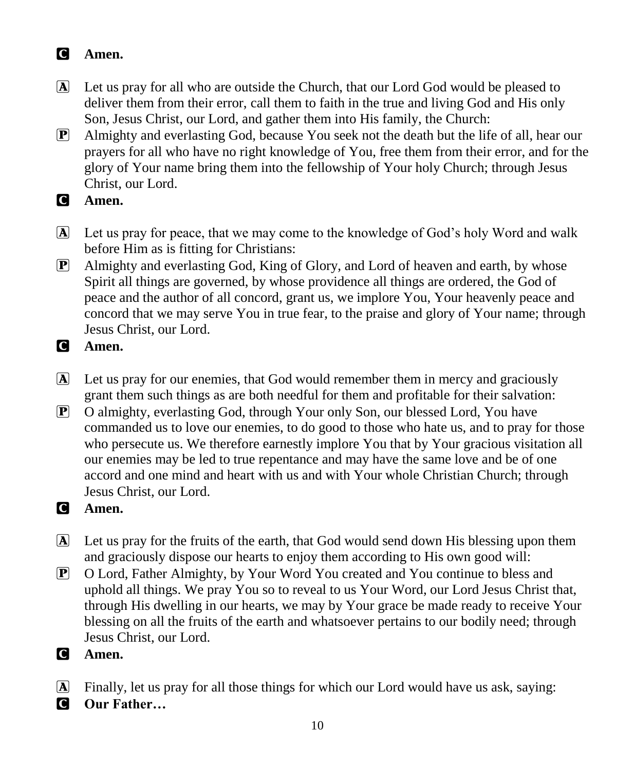# C **Amen.**

- A Let us pray for all who are outside the Church, that our Lord God would be pleased to deliver them from their error, call them to faith in the true and living God and His only Son, Jesus Christ, our Lord, and gather them into His family, the Church:
- P Almighty and everlasting God, because You seek not the death but the life of all, hear our prayers for all who have no right knowledge of You, free them from their error, and for the glory of Your name bring them into the fellowship of Your holy Church; through Jesus Christ, our Lord.
- C **Amen.**
- A Let us pray for peace, that we may come to the knowledge of God's holy Word and walk before Him as is fitting for Christians:
- P Almighty and everlasting God, King of Glory, and Lord of heaven and earth, by whose Spirit all things are governed, by whose providence all things are ordered, the God of peace and the author of all concord, grant us, we implore You, Your heavenly peace and concord that we may serve You in true fear, to the praise and glory of Your name; through Jesus Christ, our Lord.
- C **Amen.**
- A Let us pray for our enemies, that God would remember them in mercy and graciously grant them such things as are both needful for them and profitable for their salvation:
- P O almighty, everlasting God, through Your only Son, our blessed Lord, You have commanded us to love our enemies, to do good to those who hate us, and to pray for those who persecute us. We therefore earnestly implore You that by Your gracious visitation all our enemies may be led to true repentance and may have the same love and be of one accord and one mind and heart with us and with Your whole Christian Church; through Jesus Christ, our Lord.
- C **Amen.**
- A Let us pray for the fruits of the earth, that God would send down His blessing upon them and graciously dispose our hearts to enjoy them according to His own good will:
- P O Lord, Father Almighty, by Your Word You created and You continue to bless and uphold all things. We pray You so to reveal to us Your Word, our Lord Jesus Christ that, through His dwelling in our hearts, we may by Your grace be made ready to receive Your blessing on all the fruits of the earth and whatsoever pertains to our bodily need; through Jesus Christ, our Lord.
- C **Amen.**
- A Finally, let us pray for all those things for which our Lord would have us ask, saying:
- C **Our Father…**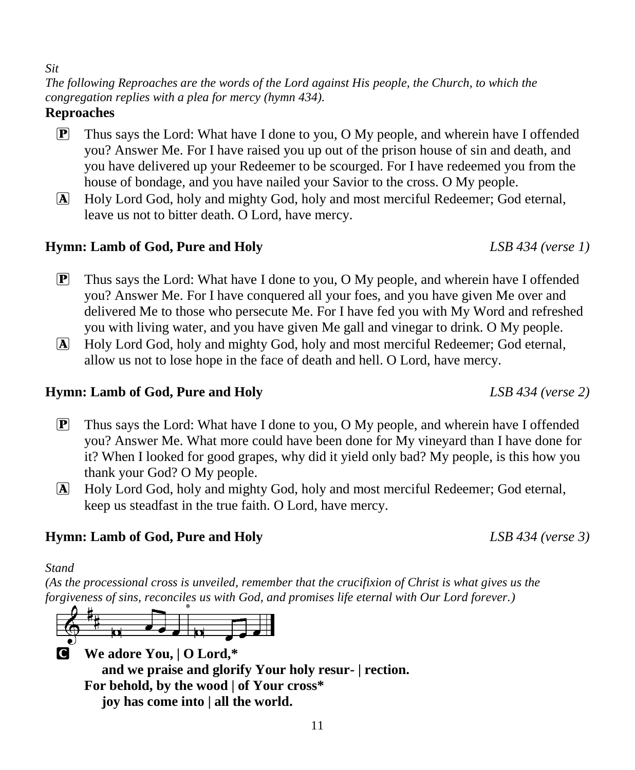#### *Sit*

*The following Reproaches are the words of the Lord against His people, the Church, to which the congregation replies with a plea for mercy (hymn 434).*

#### **Reproaches**

- $\mathbf{P}$  Thus says the Lord: What have I done to you, O My people, and wherein have I offended you? Answer Me. For I have raised you up out of the prison house of sin and death, and you have delivered up your Redeemer to be scourged. For I have redeemed you from the house of bondage, and you have nailed your Savior to the cross. O My people.
- A Holy Lord God, holy and mighty God, holy and most merciful Redeemer; God eternal, leave us not to bitter death. O Lord, have mercy.

### **Hymn: Lamb of God, Pure and Holy** *LSB 434 (verse 1)*

- **P** Thus says the Lord: What have I done to you, O My people, and wherein have I offended you? Answer Me. For I have conquered all your foes, and you have given Me over and delivered Me to those who persecute Me. For I have fed you with My Word and refreshed you with living water, and you have given Me gall and vinegar to drink. O My people.
- A Holy Lord God, holy and mighty God, holy and most merciful Redeemer; God eternal, allow us not to lose hope in the face of death and hell. O Lord, have mercy.

#### **Hymn: Lamb of God, Pure and Holy** *LSB 434 (verse 2)*

- **P** Thus says the Lord: What have I done to you, O My people, and wherein have I offended you? Answer Me. What more could have been done for My vineyard than I have done for it? When I looked for good grapes, why did it yield only bad? My people, is this how you thank your God? O My people.
- A Holy Lord God, holy and mighty God, holy and most merciful Redeemer; God eternal, keep us steadfast in the true faith. O Lord, have mercy.

#### **Hymn: Lamb of God, Pure and Holy** *LSB 434 (verse 3)*

#### *Stand*

*(As the processional cross is unveiled, remember that the crucifixion of Christ is what gives us the forgiveness of sins, reconciles us with God, and promises life eternal with Our Lord forever.)*



C **We adore You, | O Lord,\* and we praise and glorify Your holy resur- | rection. For behold, by the wood | of Your cross\* joy has come into | all the world.**